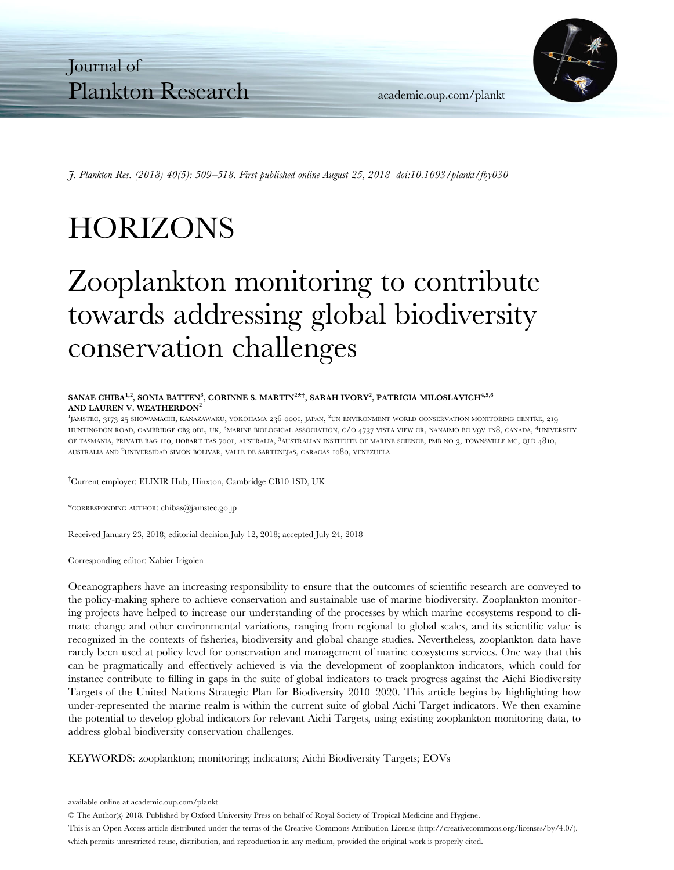

J. Plankton Res. (2018) 40(5): 509–518. First published online August 25, 2018 doi:10.1093/plankt/fby030

# **HORIZONS**

# Zooplankton monitoring to contribute towards addressing global biodiversity conservation challenges

#### SANAE CHIBA $^{1,2}$ , SONIA BATTEN $^3$ , CORINNE S. MARTIN $^{2\star\dagger},$  SARAH IVORY $^2$ , PATRICIA MILOSLAVICH $^{4,5,6}$ AND LAUREN V. WEATHERDON<sup>2</sup>

-<br>JAMSTEC, 3173-25 SHOWAMACHI, KANAZAWAKU, YOKOHAMA 236-0001, JAPAN, <sup>2</sup>UN ENVIRONMENT WORLD CONSERVATION MONITORING CENTRE, 219 HUNTINGDON ROAD, CAMBRIDGE CB3 ODL, UK, <sup>3</sup>MARINE BIOLOGICAL ASSOCIATION, C/O 4737 VISTA VIEW CR, NANAIMO BC V9V 1N8, CANADA, <sup>4</sup>UNIVERSITY OF TASMANIA, PRIVATE BAG 110, HOBART TAS 7001, AUSTRALIA, <sup>5</sup>AUSTRALIAN INSTITUTE OF MARINE SCIENCE, PMB NO 3, TOWNSVILLE MC, QLD 4810, AUSTRALIA AND  $^6$ universidad simon bolivar, valle de sartenejas, caracas 1080, venezuela

† Current employer: ELIXIR Hub, Hinxton, Cambridge CB10 1SD, UK

\*CORRESPONDING AUTHOR: chibas@jamstec.go.jp

Received January 23, 2018; editorial decision July 12, 2018; accepted July 24, 2018

Corresponding editor: Xabier Irigoien

Oceanographers have an increasing responsibility to ensure that the outcomes of scientific research are conveyed to the policy-making sphere to achieve conservation and sustainable use of marine biodiversity. Zooplankton monitoring projects have helped to increase our understanding of the processes by which marine ecosystems respond to climate change and other environmental variations, ranging from regional to global scales, and its scientific value is recognized in the contexts of fisheries, biodiversity and global change studies. Nevertheless, zooplankton data have rarely been used at policy level for conservation and management of marine ecosystems services. One way that this can be pragmatically and effectively achieved is via the development of zooplankton indicators, which could for instance contribute to filling in gaps in the suite of global indicators to track progress against the Aichi Biodiversity Targets of the United Nations Strategic Plan for Biodiversity 2010–2020. This article begins by highlighting how under-represented the marine realm is within the current suite of global Aichi Target indicators. We then examine the potential to develop global indicators for relevant Aichi Targets, using existing zooplankton monitoring data, to address global biodiversity conservation challenges.

KEYWORDS: zooplankton; monitoring; indicators; Aichi Biodiversity Targets; EOVs

This is an Open Access article distributed under the terms of the Creative Commons Attribution License ([http://creativecommons.org/licenses/by/4.0/\)](http://creativecommons.org/licenses/by/4.0/),

which permits unrestricted reuse, distribution, and reproduction in any medium, provided the original work is properly cited.

available online at [academic.oup.com/plankt](https://academic.oup.com/plankt)

<sup>©</sup> The Author(s) 2018. Published by Oxford University Press on behalf of Royal Society of Tropical Medicine and Hygiene.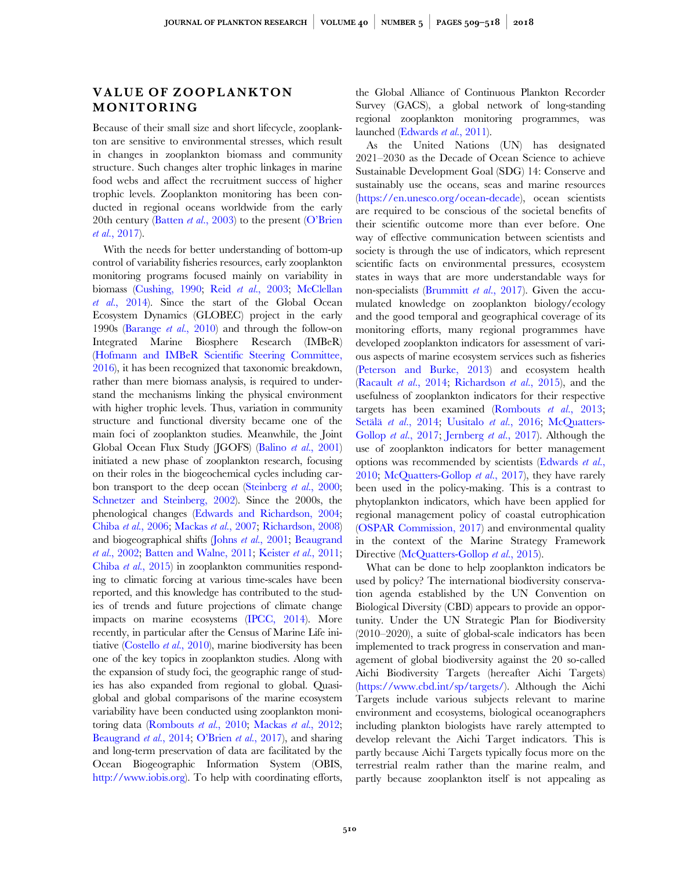## VALUE OF ZOOPLANKTON MONITORING

Because of their small size and short lifecycle, zooplankton are sensitive to environmental stresses, which result in changes in zooplankton biomass and community structure. Such changes alter trophic linkages in marine food webs and affect the recruitment success of higher trophic levels. Zooplankton monitoring has been conducted in regional oceans worldwide from the early 20th century (Batten *et al.*[, 2003\)](#page-7-0) to the present (O'[Brien](#page-9-0) et al.[, 2017\)](#page-9-0).

With the needs for better understanding of bottom-up control of variability fisheries resources, early zooplankton monitoring programs focused mainly on variability in biomass [\(Cushing, 1990](#page-8-0); Reid et al.[, 2003](#page-9-0); [McClellan](#page-9-0) et al.[, 2014](#page-9-0)). Since the start of the Global Ocean Ecosystem Dynamics (GLOBEC) project in the early 1990s ([Barange](#page-7-0) et al., 2010) and through the follow-on Integrated Marine Biosphere Research (IMBeR) ([Hofmann and IMBeR Scienti](#page-8-0)fic Steering Committee, [2016\)](#page-8-0), it has been recognized that taxonomic breakdown, rather than mere biomass analysis, is required to understand the mechanisms linking the physical environment with higher trophic levels. Thus, variation in community structure and functional diversity became one of the main foci of zooplankton studies. Meanwhile, the Joint Global Ocean Flux Study (JGOFS) (Balino et al.[, 2001\)](#page-7-0) initiated a new phase of zooplankton research, focusing on their roles in the biogeochemical cycles including car-bon transport to the deep ocean [\(Steinberg](#page-9-0) *et al.*, 2000; [Schnetzer and Steinberg, 2002\)](#page-9-0). Since the 2000s, the phenological changes [\(Edwards and Richardson, 2004;](#page-8-0) Chiba et al.[, 2006](#page-8-0); [Mackas](#page-9-0) et al., 2007; [Richardson, 2008\)](#page-9-0) and biogeographical shifts (Johns et al.[, 2001](#page-8-0); [Beaugrand](#page-8-0) et al.[, 2002](#page-8-0); [Batten and Walne, 2011;](#page-7-0) [Keister](#page-8-0) et al., 2011; Chiba et al.[, 2015\)](#page-8-0) in zooplankton communities responding to climatic forcing at various time-scales have been reported, and this knowledge has contributed to the studies of trends and future projections of climate change impacts on marine ecosystems [\(IPCC, 2014](#page-8-0)). More recently, in particular after the Census of Marine Life initiative [\(Costello](#page-8-0) et al., 2010), marine biodiversity has been one of the key topics in zooplankton studies. Along with the expansion of study foci, the geographic range of studies has also expanded from regional to global. Quasiglobal and global comparisons of the marine ecosystem variability have been conducted using zooplankton monitoring data [\(Rombouts](#page-9-0) et al., 2010; [Mackas](#page-9-0) et al., 2012; [Beaugrand](#page-8-0) et al., 2014; O'Brien et al.[, 2017](#page-9-0)), and sharing and long-term preservation of data are facilitated by the Ocean Biogeographic Information System (OBIS, <http://www.iobis.org>). To help with coordinating efforts,

the Global Alliance of Continuous Plankton Recorder Survey (GACS), a global network of long-standing regional zooplankton monitoring programmes, was launched [\(Edwards](#page-8-0) et al., 2011).

As the United Nations (UN) has designated 2021–2030 as the Decade of Ocean Science to achieve Sustainable Development Goal (SDG) 14: Conserve and sustainably use the oceans, seas and marine resources ([https://en.unesco.org/ocean-decade\)](https://en.unesco.org/ocean-decade), ocean scientists are required to be conscious of the societal benefits of their scientific outcome more than ever before. One way of effective communication between scientists and society is through the use of indicators, which represent scientific facts on environmental pressures, ecosystem states in ways that are more understandable ways for non-specialists ([Brummitt](#page-8-0) et al., 2017). Given the accumulated knowledge on zooplankton biology/ecology and the good temporal and geographical coverage of its monitoring efforts, many regional programmes have developed zooplankton indicators for assessment of various aspects of marine ecosystem services such as fisheries ([Peterson and Burke, 2013\)](#page-9-0) and ecosystem health ([Racault](#page-9-0) et al., 2014; [Richardson](#page-9-0) et al., 2015), and the usefulness of zooplankton indicators for their respective targets has been examined ([Rombouts](#page-9-0) et al., 2013; Setälä et al.[, 2014;](#page-9-0) [Uusitalo](#page-9-0) et al., 2016; [McQuatters-](#page-9-0)[Gollop](#page-9-0) et al., 2017; [Jernberg](#page-8-0) et al., 2017). Although the use of zooplankton indicators for better management options was recommended by scientists ([Edwards](#page-8-0) et al., [2010](#page-8-0); [McQuatters-Gollop](#page-9-0) et al., 2017), they have rarely been used in the policy-making. This is a contrast to phytoplankton indicators, which have been applied for regional management policy of coastal eutrophication ([OSPAR Commission, 2017](#page-9-0)) and environmental quality in the context of the Marine Strategy Framework Directive ([McQuatters-Gollop](#page-9-0) *et al.*, 2015).

What can be done to help zooplankton indicators be used by policy? The international biodiversity conservation agenda established by the UN Convention on Biological Diversity (CBD) appears to provide an opportunity. Under the UN Strategic Plan for Biodiversity (2010–2020), a suite of global-scale indicators has been implemented to track progress in conservation and management of global biodiversity against the 20 so-called Aichi Biodiversity Targets (hereafter Aichi Targets) (<https://www.cbd.int/sp/targets/>). Although the Aichi Targets include various subjects relevant to marine environment and ecosystems, biological oceanographers including plankton biologists have rarely attempted to develop relevant the Aichi Target indicators. This is partly because Aichi Targets typically focus more on the terrestrial realm rather than the marine realm, and partly because zooplankton itself is not appealing as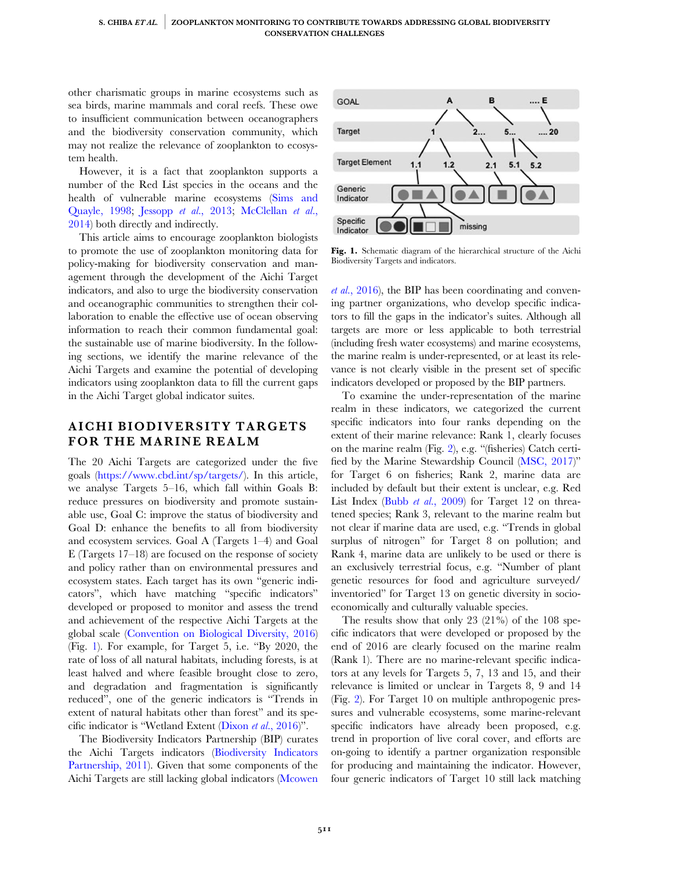other charismatic groups in marine ecosystems such as sea birds, marine mammals and coral reefs. These owe to insufficient communication between oceanographers and the biodiversity conservation community, which may not realize the relevance of zooplankton to ecosystem health.

However, it is a fact that zooplankton supports a number of the Red List species in the oceans and the health of vulnerable marine ecosystems [\(Sims and](#page-9-0) [Quayle, 1998;](#page-9-0) [Jessopp](#page-8-0) et al., 2013; [McClellan](#page-9-0) et al., [2014](#page-9-0)) both directly and indirectly.

This article aims to encourage zooplankton biologists to promote the use of zooplankton monitoring data for policy-making for biodiversity conservation and management through the development of the Aichi Target indicators, and also to urge the biodiversity conservation and oceanographic communities to strengthen their collaboration to enable the effective use of ocean observing information to reach their common fundamental goal: the sustainable use of marine biodiversity. In the following sections, we identify the marine relevance of the Aichi Targets and examine the potential of developing indicators using zooplankton data to fill the current gaps in the Aichi Target global indicator suites.

# AICHI BIODIVERSITY TARGETS FOR THE MARINE REALM

The 20 Aichi Targets are categorized under the five goals (<https://www.cbd.int/sp/targets/>). In this article, we analyse Targets 5–16, which fall within Goals B: reduce pressures on biodiversity and promote sustainable use, Goal C: improve the status of biodiversity and Goal D: enhance the benefits to all from biodiversity and ecosystem services. Goal A (Targets 1–4) and Goal E (Targets 17–18) are focused on the response of society and policy rather than on environmental pressures and ecosystem states. Each target has its own "generic indicators", which have matching "specific indicators" developed or proposed to monitor and assess the trend and achievement of the respective Aichi Targets at the global scale ([Convention on Biological Diversity, 2016\)](#page-8-0) (Fig. 1). For example, for Target 5, i.e. "By 2020, the rate of loss of all natural habitats, including forests, is at least halved and where feasible brought close to zero, and degradation and fragmentation is significantly reduced", one of the generic indicators is "Trends in extent of natural habitats other than forest" and its specific indicator is "Wetland Extent (Dixon et al.[, 2016](#page-8-0))".

The Biodiversity Indicators Partnership (BIP) curates the Aichi Targets indicators [\(Biodiversity Indicators](#page-8-0) [Partnership, 2011](#page-8-0)). Given that some components of the Aichi Targets are still lacking global indicators [\(Mcowen](#page-9-0)



Fig. 1. Schematic diagram of the hierarchical structure of the Aichi Biodiversity Targets and indicators.

et al.[, 2016\)](#page-9-0), the BIP has been coordinating and convening partner organizations, who develop specific indicators to fill the gaps in the indicator's suites. Although all targets are more or less applicable to both terrestrial (including fresh water ecosystems) and marine ecosystems, the marine realm is under-represented, or at least its relevance is not clearly visible in the present set of specific indicators developed or proposed by the BIP partners.

To examine the under-representation of the marine realm in these indicators, we categorized the current specific indicators into four ranks depending on the extent of their marine relevance: Rank 1, clearly focuses on the marine realm (Fig. [2\)](#page-3-0), e.g. "(fisheries) Catch certified by the Marine Stewardship Council [\(MSC, 2017](#page-9-0))" for Target 6 on fisheries; Rank 2, marine data are included by default but their extent is unclear, e.g. Red List Index (Bubb *et al.*, 2009) for Target 12 on threatened species; Rank 3, relevant to the marine realm but not clear if marine data are used, e.g. "Trends in global surplus of nitrogen" for Target 8 on pollution; and Rank 4, marine data are unlikely to be used or there is an exclusively terrestrial focus, e.g. "Number of plant genetic resources for food and agriculture surveyed/ inventoried" for Target 13 on genetic diversity in socioeconomically and culturally valuable species.

The results show that only 23 (21%) of the 108 specific indicators that were developed or proposed by the end of 2016 are clearly focused on the marine realm (Rank 1). There are no marine-relevant specific indicators at any levels for Targets 5, 7, 13 and 15, and their relevance is limited or unclear in Targets 8, 9 and 14 (Fig. [2\)](#page-3-0). For Target 10 on multiple anthropogenic pressures and vulnerable ecosystems, some marine-relevant specific indicators have already been proposed, e.g. trend in proportion of live coral cover, and efforts are on-going to identify a partner organization responsible for producing and maintaining the indicator. However, four generic indicators of Target 10 still lack matching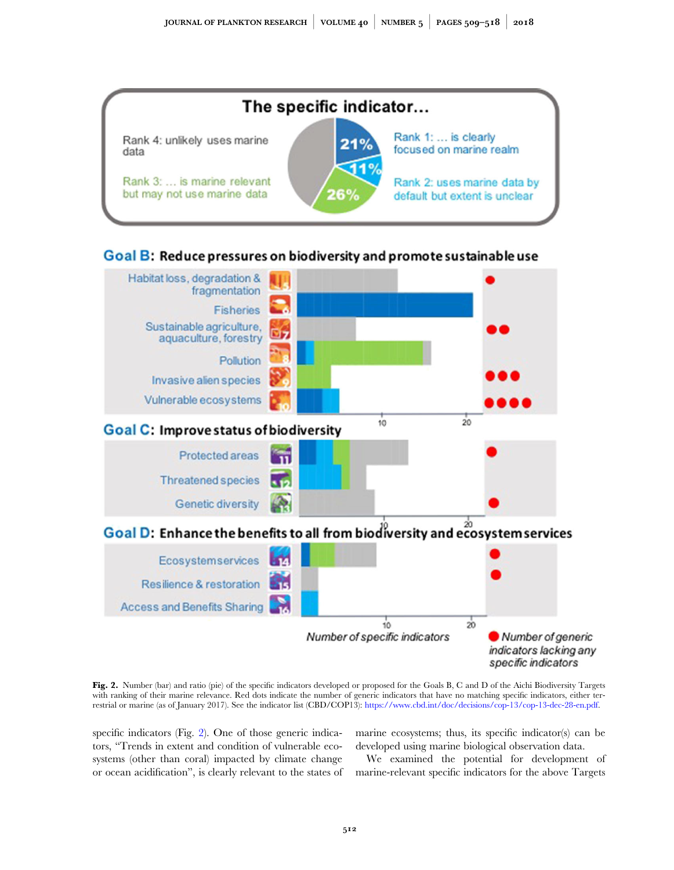<span id="page-3-0"></span>

## Goal B: Reduce pressures on biodiversity and promote sustainable use



Fig. 2. Number (bar) and ratio (pie) of the specific indicators developed or proposed for the Goals B, C and D of the Aichi Biodiversity Targets with ranking of their marine relevance. Red dots indicate the number of generic indicators that have no matching specific indicators, either terrestrial or marine (as of January 2017). See the indicator list (CBD/COP13): [https://www.cbd.int/doc/decisions/cop-13/cop-13-dec-28-en.pdf.](https://www.cbd.int/doc/decisions/cop-13/cop-13-dec-28-en.pdf)

specific indicators (Fig. 2). One of those generic indicators, "Trends in extent and condition of vulnerable ecosystems (other than coral) impacted by climate change or ocean acidification", is clearly relevant to the states of marine ecosystems; thus, its specific indicator(s) can be developed using marine biological observation data.

We examined the potential for development of marine-relevant specific indicators for the above Targets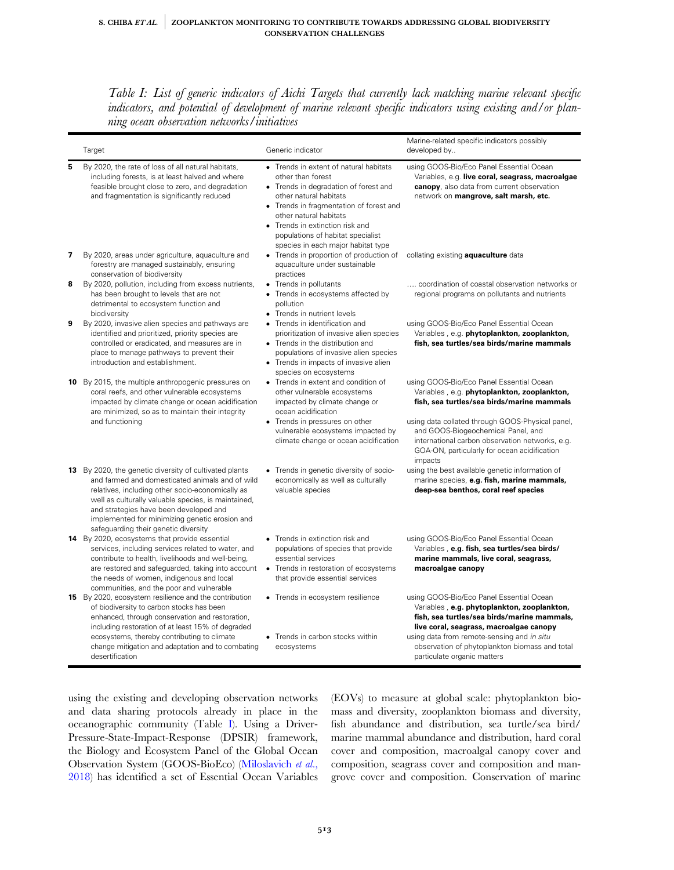#### <span id="page-4-0"></span>S. CHIBA ET AL. ZOOPLANKTON MONITORING TO CONTRIBUTE TOWARDS ADDRESSING GLOBAL BIODIVERSITY CONSERVATION CHALLENGES

Table I: List of generic indicators of Aichi Targets that currently lack matching marine relevant specific indicators, and potential of development of marine relevant specific indicators using existing and/or planning ocean observation networks/initiatives

|   | Target                                                                                                                                                                                                                                                                                                                                                   | Generic indicator                                                                                                                                                                                                                                                                                               | Marine-related specific indicators possibly<br>developed by                                                                                                                                                                                                                                                                                   |
|---|----------------------------------------------------------------------------------------------------------------------------------------------------------------------------------------------------------------------------------------------------------------------------------------------------------------------------------------------------------|-----------------------------------------------------------------------------------------------------------------------------------------------------------------------------------------------------------------------------------------------------------------------------------------------------------------|-----------------------------------------------------------------------------------------------------------------------------------------------------------------------------------------------------------------------------------------------------------------------------------------------------------------------------------------------|
| 5 | By 2020, the rate of loss of all natural habitats,<br>including forests, is at least halved and where<br>feasible brought close to zero, and degradation<br>and fragmentation is significantly reduced                                                                                                                                                   | • Trends in extent of natural habitats<br>other than forest<br>• Trends in degradation of forest and<br>other natural habitats<br>Trends in fragmentation of forest and<br>other natural habitats<br>• Trends in extinction risk and<br>populations of habitat specialist<br>species in each major habitat type | using GOOS-Bio/Eco Panel Essential Ocean<br>Variables, e.g. live coral, seagrass, macroalgae<br>canopy, also data from current observation<br>network on mangrove, salt marsh, etc.                                                                                                                                                           |
| 7 | By 2020, areas under agriculture, aquaculture and<br>forestry are managed sustainably, ensuring<br>conservation of biodiversity                                                                                                                                                                                                                          | Trends in proportion of production of<br>aquaculture under sustainable<br>practices                                                                                                                                                                                                                             | collating existing <b>aquaculture</b> data                                                                                                                                                                                                                                                                                                    |
| 8 | By 2020, pollution, including from excess nutrients,<br>has been brought to levels that are not<br>detrimental to ecosystem function and<br>biodiversity                                                                                                                                                                                                 | Trends in pollutants<br>$\bullet$<br>Trends in ecosystems affected by<br>pollution<br>• Trends in nutrient levels                                                                                                                                                                                               | coordination of coastal observation networks or<br>regional programs on pollutants and nutrients                                                                                                                                                                                                                                              |
| 9 | By 2020, invasive alien species and pathways are<br>identified and prioritized, priority species are<br>controlled or eradicated, and measures are in<br>place to manage pathways to prevent their<br>introduction and establishment.                                                                                                                    | • Trends in identification and<br>prioritization of invasive alien species<br>• Trends in the distribution and<br>populations of invasive alien species<br>• Trends in impacts of invasive alien<br>species on ecosystems                                                                                       | using GOOS-Bio/Eco Panel Essential Ocean<br>Variables, e.g. phytoplankton, zooplankton,<br>fish, sea turtles/sea birds/marine mammals                                                                                                                                                                                                         |
|   | 10 By 2015, the multiple anthropogenic pressures on<br>coral reefs, and other vulnerable ecosystems<br>impacted by climate change or ocean acidification<br>are minimized, so as to maintain their integrity<br>and functioning                                                                                                                          | Trends in extent and condition of<br>$\bullet$<br>other vulnerable ecosystems<br>impacted by climate change or<br>ocean acidification<br>• Trends in pressures on other<br>vulnerable ecosystems impacted by<br>climate change or ocean acidification                                                           | using GOOS-Bio/Eco Panel Essential Ocean<br>Variables, e.g. phytoplankton, zooplankton,<br>fish, sea turtles/sea birds/marine mammals<br>using data collated through GOOS-Physical panel,<br>and GOOS-Biogeochemical Panel, and<br>international carbon observation networks, e.g.<br>GOA-ON, particularly for ocean acidification<br>impacts |
|   | 13 By 2020, the genetic diversity of cultivated plants<br>and farmed and domesticated animals and of wild<br>relatives, including other socio-economically as<br>well as culturally valuable species, is maintained,<br>and strategies have been developed and<br>implemented for minimizing genetic erosion and<br>safeguarding their genetic diversity | • Trends in genetic diversity of socio-<br>economically as well as culturally<br>valuable species                                                                                                                                                                                                               | using the best available genetic information of<br>marine species, e.g. fish, marine mammals,<br>deep-sea benthos, coral reef species                                                                                                                                                                                                         |
|   | 14 By 2020, ecosystems that provide essential<br>services, including services related to water, and<br>contribute to health, livelihoods and well-being,<br>are restored and safeguarded, taking into account<br>the needs of women, indigenous and local<br>communities, and the poor and vulnerable                                                    | • Trends in extinction risk and<br>populations of species that provide<br>essential services<br>• Trends in restoration of ecosystems<br>that provide essential services                                                                                                                                        | using GOOS-Bio/Eco Panel Essential Ocean<br>Variables, e.g. fish, sea turtles/sea birds/<br>marine mammals, live coral, seagrass,<br>macroalgae canopy                                                                                                                                                                                        |
|   | 15 By 2020, ecosystem resilience and the contribution<br>of biodiversity to carbon stocks has been<br>enhanced, through conservation and restoration,<br>including restoration of at least 15% of degraded<br>ecosystems, thereby contributing to climate<br>change mitigation and adaptation and to combating<br>desertification                        | • Trends in ecosystem resilience<br>• Trends in carbon stocks within<br>ecosystems                                                                                                                                                                                                                              | using GOOS-Bio/Eco Panel Essential Ocean<br>Variables, e.g. phytoplankton, zooplankton,<br>fish, sea turtles/sea birds/marine mammals,<br>live coral, seagrass, macroalgae canopy<br>using data from remote-sensing and in situ<br>observation of phytoplankton biomass and total<br>particulate organic matters                              |

using the existing and developing observation networks and data sharing protocols already in place in the oceanographic community (Table I). Using a Driver-Pressure-State-Impact-Response (DPSIR) framework, the Biology and Ecosystem Panel of the Global Ocean Observation System (GOOS-BioEco) [\(Miloslavich](#page-9-0) et al., [2018](#page-9-0)) has identified a set of Essential Ocean Variables (EOVs) to measure at global scale: phytoplankton biomass and diversity, zooplankton biomass and diversity, fish abundance and distribution, sea turtle/sea bird/ marine mammal abundance and distribution, hard coral cover and composition, macroalgal canopy cover and composition, seagrass cover and composition and mangrove cover and composition. Conservation of marine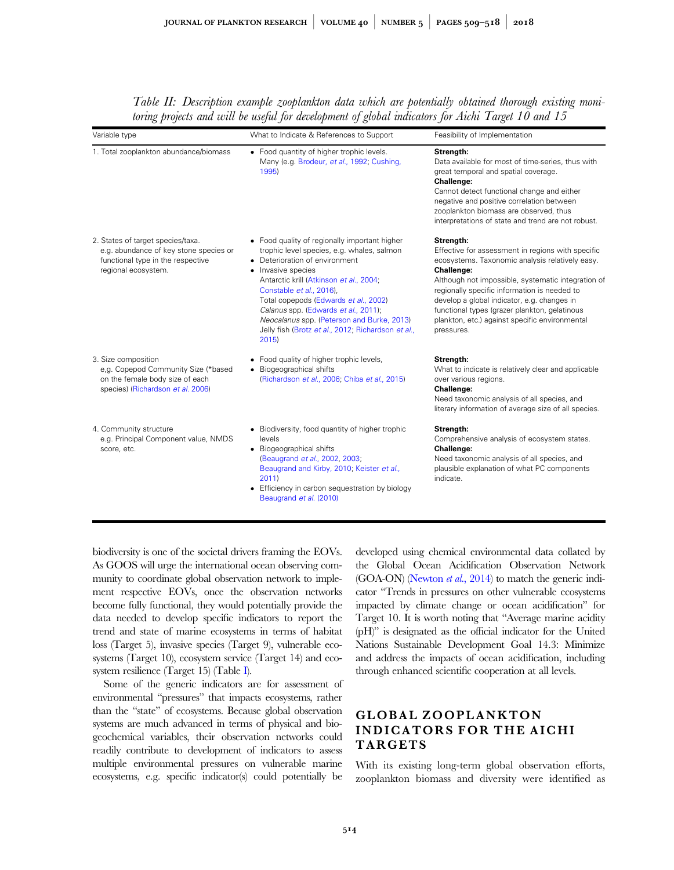<span id="page-5-0"></span>

| Variable type                                                                                                                           | What to Indicate & References to Support                                                                                                                                                                                                                                                                                                                                                                                | Feasibility of Implementation                                                                                                                                                                                                                                                                                                                                                                         |
|-----------------------------------------------------------------------------------------------------------------------------------------|-------------------------------------------------------------------------------------------------------------------------------------------------------------------------------------------------------------------------------------------------------------------------------------------------------------------------------------------------------------------------------------------------------------------------|-------------------------------------------------------------------------------------------------------------------------------------------------------------------------------------------------------------------------------------------------------------------------------------------------------------------------------------------------------------------------------------------------------|
| 1. Total zooplankton abundance/biomass                                                                                                  | • Food quantity of higher trophic levels.<br>Many (e.g. Brodeur, et al., 1992; Cushing,<br>1995)                                                                                                                                                                                                                                                                                                                        | Strength:<br>Data available for most of time-series, thus with<br>great temporal and spatial coverage.<br>Challenge:<br>Cannot detect functional change and either<br>negative and positive correlation between<br>zooplankton biomass are observed, thus<br>interpretations of state and trend are not robust.                                                                                       |
| 2. States of target species/taxa.<br>e.g. abundance of key stone species or<br>functional type in the respective<br>regional ecosystem. | • Food quality of regionally important higher<br>trophic level species, e.g. whales, salmon<br>• Deterioration of environment<br>• Invasive species<br>Antarctic krill (Atkinson et al., 2004;<br>Constable et al., 2016),<br>Total copepods (Edwards et al., 2002)<br>Calanus spp. (Edwards et al., 2011);<br>Neocalanus spp. (Peterson and Burke, 2013)<br>Jelly fish (Brotz et al., 2012; Richardson et al.,<br>2015 | Strength:<br>Effective for assessment in regions with specific<br>ecosystems. Taxonomic analysis relatively easy.<br>Challenge:<br>Although not impossible, systematic integration of<br>regionally specific information is needed to<br>develop a global indicator, e.g. changes in<br>functional types (grazer plankton, gelatinous<br>plankton, etc.) against specific environmental<br>pressures. |
| 3. Size composition<br>e,g. Copepod Community Size (*based<br>on the female body size of each<br>species) (Richardson et al. 2006)      | • Food quality of higher trophic levels,<br>• Biogeographical shifts<br>(Richardson et al., 2006; Chiba et al., 2015)                                                                                                                                                                                                                                                                                                   | Strength:<br>What to indicate is relatively clear and applicable<br>over various regions.<br>Challenge:<br>Need taxonomic analysis of all species, and<br>literary information of average size of all species.                                                                                                                                                                                        |
| 4. Community structure<br>e.g. Principal Component value, NMDS<br>score, etc.                                                           | • Biodiversity, food quantity of higher trophic<br>levels<br>• Biogeographical shifts<br>(Beaugrand et al., 2002, 2003;<br>Beaugrand and Kirby, 2010; Keister et al.,<br>2011<br>• Efficiency in carbon sequestration by biology<br>Beaugrand et al. (2010)                                                                                                                                                             | Strength:<br>Comprehensive analysis of ecosystem states.<br>Challenge:<br>Need taxonomic analysis of all species, and<br>plausible explanation of what PC components<br>indicate.                                                                                                                                                                                                                     |

Table II: Description example zooplankton data which are potentially obtained thorough existing monitoring projects and will be useful for development of global indicators for Aichi Target 10 and 15

biodiversity is one of the societal drivers framing the EOVs. As GOOS will urge the international ocean observing community to coordinate global observation network to implement respective EOVs, once the observation networks become fully functional, they would potentially provide the data needed to develop specific indicators to report the trend and state of marine ecosystems in terms of habitat loss (Target 5), invasive species (Target 9), vulnerable ecosystems (Target 10), ecosystem service (Target 14) and ecosystem resilience (Target 15) (Table [I\)](#page-4-0).

Some of the generic indicators are for assessment of environmental "pressures" that impacts ecosystems, rather than the "state" of ecosystems. Because global observation systems are much advanced in terms of physical and biogeochemical variables, their observation networks could readily contribute to development of indicators to assess multiple environmental pressures on vulnerable marine ecosystems, e.g. specific indicator(s) could potentially be developed using chemical environmental data collated by the Global Ocean Acidification Observation Network (GOA-ON) ([Newton](#page-9-0) et al., 2014) to match the generic indicator "Trends in pressures on other vulnerable ecosystems impacted by climate change or ocean acidification" for Target 10. It is worth noting that "Average marine acidity (pH)" is designated as the official indicator for the United Nations Sustainable Development Goal 14.3: Minimize and address the impacts of ocean acidification, including through enhanced scientific cooperation at all levels.

# GLOBAL ZOOPLANKTON INDICATORS FOR THE AICHI TARGETS

With its existing long-term global observation efforts, zooplankton biomass and diversity were identified as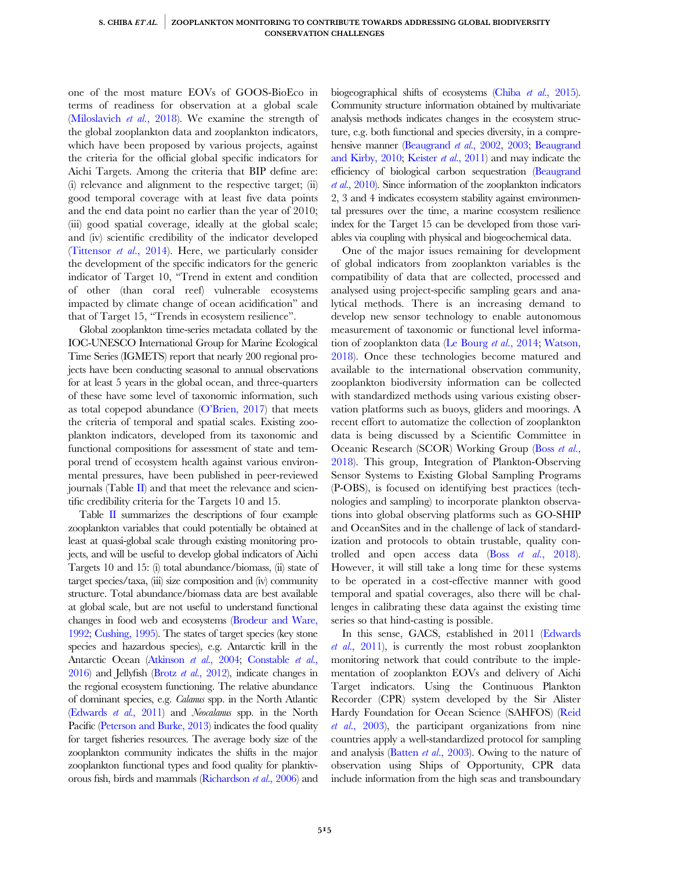one of the most mature EOVs of GOOS-BioEco in terms of readiness for observation at a global scale [\(Miloslavich](#page-9-0) et al., 2018). We examine the strength of the global zooplankton data and zooplankton indicators, which have been proposed by various projects, against the criteria for the official global specific indicators for Aichi Targets. Among the criteria that BIP define are: (i) relevance and alignment to the respective target; (ii) good temporal coverage with at least five data points and the end data point no earlier than the year of 2010; (iii) good spatial coverage, ideally at the global scale; and (iv) scientific credibility of the indicator developed [\(Tittensor](#page-9-0) et al., 2014). Here, we particularly consider the development of the specific indicators for the generic indicator of Target 10, "Trend in extent and condition of other (than coral reef) vulnerable ecosystems impacted by climate change of ocean acidification" and that of Target 15, "Trends in ecosystem resilience".

Global zooplankton time-series metadata collated by the IOC-UNESCO International Group for Marine Ecological Time Series (IGMETS) report that nearly 200 regional projects have been conducting seasonal to annual observations for at least 5 years in the global ocean, and three-quarters of these have some level of taxonomic information, such as total copepod abundance (O'[Brien, 2017\)](#page-9-0) that meets the criteria of temporal and spatial scales. Existing zooplankton indicators, developed from its taxonomic and functional compositions for assessment of state and temporal trend of ecosystem health against various environmental pressures, have been published in peer-reviewed journals (Table  $II$ ) and that meet the relevance and scientific credibility criteria for the Targets 10 and 15.

Table  $\overline{\mathbf{I}}$  summarizes the descriptions of four example zooplankton variables that could potentially be obtained at least at quasi-global scale through existing monitoring projects, and will be useful to develop global indicators of Aichi Targets 10 and 15: (i) total abundance/biomass, (ii) state of target species/taxa, (iii) size composition and (iv) community structure. Total abundance/biomass data are best available at global scale, but are not useful to understand functional changes in food web and ecosystems [\(Brodeur and Ware,](#page-8-0) [1992;](#page-8-0) [Cushing, 1995](#page-8-0)). The states of target species (key stone species and hazardous species), e.g. Antarctic krill in the Antarctic Ocean ([Atkinson](#page-7-0) et al., 2004; [Constable](#page-8-0) et al., [2016\)](#page-8-0) and Jellyfish (Brotz et al.[, 2012](#page-8-0)), indicate changes in the regional ecosystem functioning. The relative abundance of dominant species, e.g. Calanus spp. in the North Atlantic [\(Edwards](#page-8-0) et al., 2011) and Neocalanus spp. in the North Pacific [\(Peterson and Burke, 2013\)](#page-9-0) indicates the food quality for target fisheries resources. The average body size of the zooplankton community indicates the shifts in the major zooplankton functional types and food quality for planktivorous fish, birds and mammals ([Richardson](#page-9-0) et al., 2006) and biogeographical shifts of ecosystems (Chiba et al.[, 2015](#page-8-0)). Community structure information obtained by multivariate analysis methods indicates changes in the ecosystem structure, e.g. both functional and species diversity, in a comprehensive manner [\(Beaugrand](#page-8-0) et al., 2002, [2003](#page-8-0); [Beaugrand](#page-8-0) [and Kirby, 2010](#page-8-0); [Keister](#page-8-0) et al., 2011) and may indicate the efficiency of biological carbon sequestration [\(Beaugrand](#page-8-0) et al.[, 2010\)](#page-8-0). Since information of the zooplankton indicators 2, 3 and 4 indicates ecosystem stability against environmental pressures over the time, a marine ecosystem resilience index for the Target 15 can be developed from those variables via coupling with physical and biogeochemical data.

One of the major issues remaining for development of global indicators from zooplankton variables is the compatibility of data that are collected, processed and analysed using project-specific sampling gears and analytical methods. There is an increasing demand to develop new sensor technology to enable autonomous measurement of taxonomic or functional level information of zooplankton data ([Le Bourg](#page-9-0) et al., 2014; [Watson,](#page-9-0) [2018\)](#page-9-0). Once these technologies become matured and available to the international observation community, zooplankton biodiversity information can be collected with standardized methods using various existing observation platforms such as buoys, gliders and moorings. A recent effort to automatize the collection of zooplankton data is being discussed by a Scientific Committee in Oceanic Research (SCOR) Working Group [\(Boss](#page-8-0) et al., [2018\)](#page-8-0). This group, Integration of Plankton-Observing Sensor Systems to Existing Global Sampling Programs (P-OBS), is focused on identifying best practices (technologies and sampling) to incorporate plankton observations into global observing platforms such as GO-SHIP and OceanSites and in the challenge of lack of standardization and protocols to obtain trustable, quality controlled and open access data (Boss et al.[, 2018](#page-8-0)). However, it will still take a long time for these systems to be operated in a cost-effective manner with good temporal and spatial coverages, also there will be challenges in calibrating these data against the existing time series so that hind-casting is possible.

In this sense, GACS, established in 2011 ([Edwards](#page-8-0) et al.[, 2011](#page-8-0)), is currently the most robust zooplankton monitoring network that could contribute to the implementation of zooplankton EOVs and delivery of Aichi Target indicators. Using the Continuous Plankton Recorder (CPR) system developed by the Sir Alister Hardy Foundation for Ocean Science (SAHFOS) [\(Reid](#page-9-0) et al.[, 2003](#page-9-0)), the participant organizations from nine countries apply a well-standardized protocol for sampling and analysis ([Batten](#page-7-0) et al., 2003). Owing to the nature of observation using Ships of Opportunity, CPR data include information from the high seas and transboundary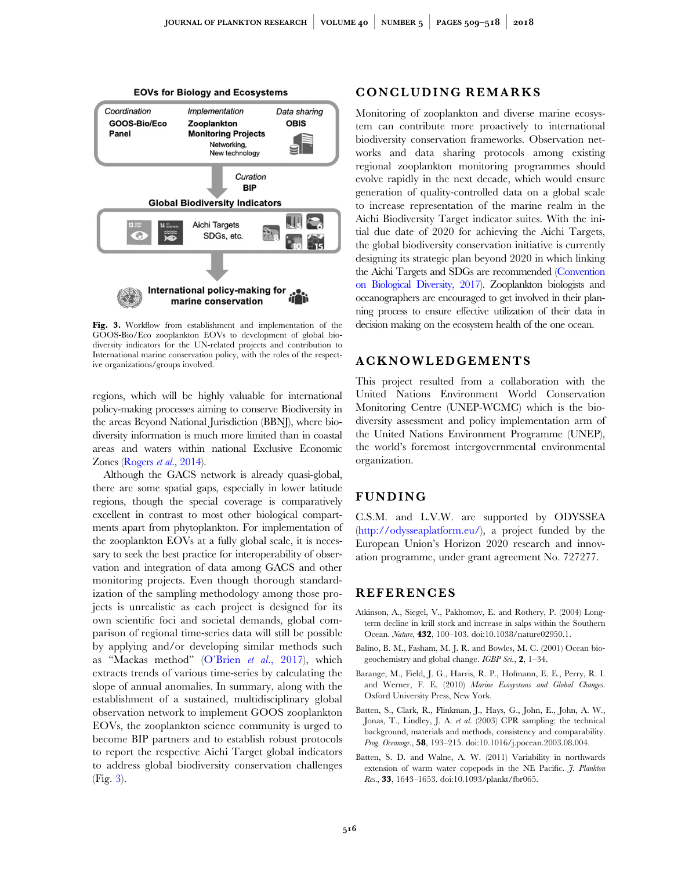<span id="page-7-0"></span>

Fig. 3. Workflow from establishment and implementation of the GOOS-Bio/Eco zooplankton EOVs to development of global biodiversity indicators for the UN-related projects and contribution to International marine conservation policy, with the roles of the respective organizations/groups involved.

regions, which will be highly valuable for international policy-making processes aiming to conserve Biodiversity in the areas Beyond National Jurisdiction (BBNJ), where biodiversity information is much more limited than in coastal areas and waters within national Exclusive Economic Zones [\(Rogers](#page-9-0) et al., 2014).

Although the GACS network is already quasi-global, there are some spatial gaps, especially in lower latitude regions, though the special coverage is comparatively excellent in contrast to most other biological compartments apart from phytoplankton. For implementation of the zooplankton EOVs at a fully global scale, it is necessary to seek the best practice for interoperability of observation and integration of data among GACS and other monitoring projects. Even though thorough standardization of the sampling methodology among those projects is unrealistic as each project is designed for its own scientific foci and societal demands, global comparison of regional time-series data will still be possible by applying and/or developing similar methods such as "Mackas method" (O'Brien et al.[, 2017\)](#page-9-0), which extracts trends of various time-series by calculating the slope of annual anomalies. In summary, along with the establishment of a sustained, multidisciplinary global observation network to implement GOOS zooplankton EOVs, the zooplankton science community is urged to become BIP partners and to establish robust protocols to report the respective Aichi Target global indicators to address global biodiversity conservation challenges (Fig. 3).

#### CONCLUDING REMARKS

Monitoring of zooplankton and diverse marine ecosystem can contribute more proactively to international biodiversity conservation frameworks. Observation networks and data sharing protocols among existing regional zooplankton monitoring programmes should evolve rapidly in the next decade, which would ensure generation of quality-controlled data on a global scale to increase representation of the marine realm in the Aichi Biodiversity Target indicator suites. With the initial due date of 2020 for achieving the Aichi Targets, the global biodiversity conservation initiative is currently designing its strategic plan beyond 2020 in which linking the Aichi Targets and SDGs are recommended [\(Convention](#page-8-0) [on Biological Diversity, 2017](#page-8-0)). Zooplankton biologists and oceanographers are encouraged to get involved in their planning process to ensure effective utilization of their data in decision making on the ecosystem health of the one ocean.

## ACKNOWLEDGEMENTS

This project resulted from a collaboration with the United Nations Environment World Conservation Monitoring Centre (UNEP-WCMC) which is the biodiversity assessment and policy implementation arm of the United Nations Environment Programme (UNEP), the world's foremost intergovernmental environmental organization.

## FUNDING

C.S.M. and L.V.W. are supported by ODYSSEA ([http://odysseaplatform.eu/\)](http://odysseaplatform.eu/), a project funded by the European Union's Horizon 2020 research and innovation programme, under grant agreement No. 727277.

### REFERENCES

- Atkinson, A., Siegel, V., Pakhomov, E. and Rothery, P. (2004) Longterm decline in krill stock and increase in salps within the Southern Ocean. Nature, 432, 100–103. [doi:10.1038/nature02950.1](http://dx.doi.org/10.1038/nature02950.1).
- Balino, B. M., Fasham, M. J. R. and Bowles, M. C. (2001) Ocean biogeochemistry and global change. IGBP Sci., 2, 1–34.
- Barange, M., Field, J. G., Harris, R. P., Hofmann, E. E., Perry, R. I. and Werner, F. E. (2010) Marine Ecosystems and Global Changes. Oxford University Press, New York.
- Batten, S., Clark, R., Flinkman, J., Hays, G., John, E., John, A. W., Jonas, T., Lindley, J. A. et al. (2003) CPR sampling: the technical background, materials and methods, consistency and comparability. Prog. Oceanogr., 58, 193-215. [doi:10.1016/j.pocean.2003.08.004](http://dx.doi.org/10.1016/j.pocean.2003.08.004).
- Batten, S. D. and Walne, A. W. (2011) Variability in northwards extension of warm water copepods in the NE Pacific.  $\tilde{\jmath}$ . Plankton Res., 33, 1643–1653. [doi:10.1093/plankt/fbr065](http://dx.doi.org/10.1093/plankt/fbr065).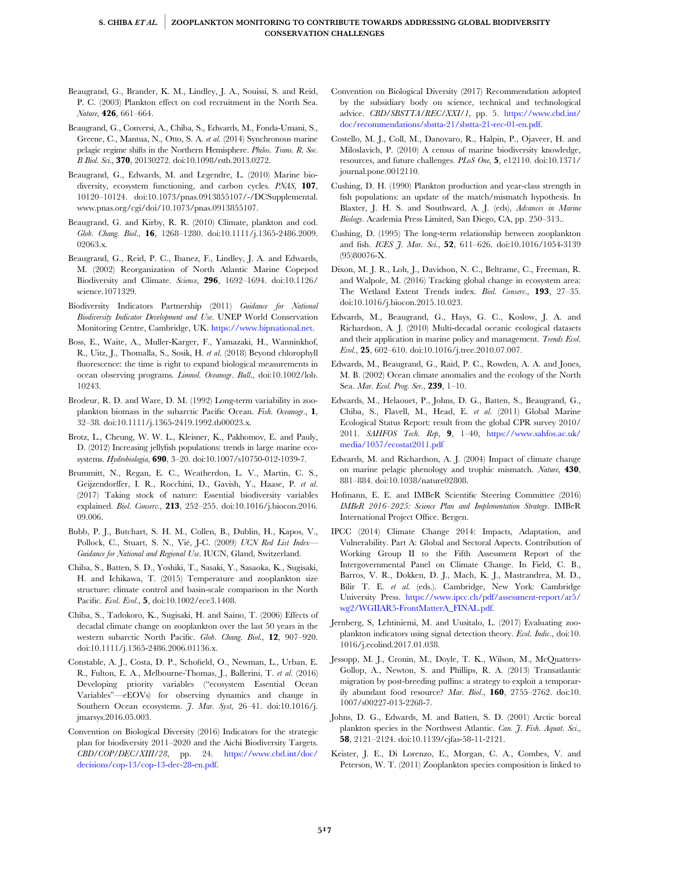#### <span id="page-8-0"></span>S. CHIBA ET AL. ZOOPLANKTON MONITORING TO CONTRIBUTE TOWARDS ADDRESSING GLOBAL BIODIVERSITY CONSERVATION CHALLENGES

- Beaugrand, G., Brander, K. M., Lindley, J. A., Souissi, S. and Reid, P. C. (2003) Plankton effect on cod recruitment in the North Sea. Nature, 426, 661–664.
- Beaugrand, G., Conversi, A., Chiba, S., Edwards, M., Fonda-Umani, S., Greene, C., Mantua, N., Otto, S. A. et al. (2014) Synchronous marine pelagic regime shifts in the Northern Hemisphere. Philos. Trans. R. Soc. B Biol. Sci., 370, 20130272. [doi:10.1098/rstb.2013.0272](http://dx.doi.org/10.1098/rstb.2013.0272).
- Beaugrand, G., Edwards, M. and Legendre, L. (2010) Marine biodiversity, ecosystem functioning, and carbon cycles. PNAS, 107, 10120–10124. [doi:10.1073/pnas.0913855107/-/DCSupplemental.](http://dx.doi.org/10.1073/pnas.0913855107/-/DCSupplemental.www.pnas.org/cgi/doi/10.1073/pnas.0913855107) [www.pnas.org/cgi/doi/10.1073/pnas.0913855107](http://dx.doi.org/10.1073/pnas.0913855107/-/DCSupplemental.www.pnas.org/cgi/doi/10.1073/pnas.0913855107).
- Beaugrand, G. and Kirby, R. R. (2010) Climate, plankton and cod. Glob. Chang. Biol., 16, 1268–1280. [doi:10.1111/j.1365-2486.2009.](http://dx.doi.org/10.1111/j.1365-2486.2009.02063.x) 02063 x
- Beaugrand, G., Reid, P. C., Ibanez, F., Lindley, J. A. and Edwards, M. (2002) Reorganization of North Atlantic Marine Copepod Biodiversity and Climate. Science, 296, 1692-1694. [doi:10.1126/](http://dx.doi.org/10.1126/science.1071329) [science.1071329](http://dx.doi.org/10.1126/science.1071329).
- Biodiversity Indicators Partnership (2011) Guidance for National Biodiversity Indicator Development and Use. UNEP World Conservation Monitoring Centre, Cambridge, UK. [https://www.bipnational.net.](https://www.bipnational.net)
- Boss, E., Waite, A., Muller-Karger, F., Yamazaki, H., Wanninkhof, R., Uitz, J., Thomalla, S., Sosik, H. et al. (2018) Beyond chlorophyll fluorescence: the time is right to expand biological measurements in ocean observing programs. Limnol. Oceanogr. Bull., [doi:10.1002/lob.](http://dx.doi.org/10.1002/lob.10243) [10243](http://dx.doi.org/10.1002/lob.10243).
- Brodeur, R. D. and Ware, D. M. (1992) Long-term variability in zooplankton biomass in the subarctic Pacific Ocean. Fish. Oceanogr., 1, 32–38. [doi:10.1111/j.1365-2419.1992.tb00023.x.](http://dx.doi.org/10.1111/j.1365-2419.1992.tb00023.x)
- Brotz, L., Cheung, W. W. L., Kleisner, K., Pakhomov, E. and Pauly, D. (2012) Increasing jellyfish populations: trends in large marine ecosystems. Hydrobiologia, 690, 3–20. [doi:10.1007/s10750-012-1039-7.](http://dx.doi.org/10.1007/s10750-012-1039-7)
- Brummitt, N., Regan, E. C., Weatherdon, L. V., Martin, C. S., Geijzendorffer, I. R., Rocchini, D., Gavish, Y., Haase, P. et al. (2017) Taking stock of nature: Essential biodiversity variables explained. Biol. Conserv., 213, 252–255. [doi:10.1016/j.biocon.2016.](http://dx.doi.org/10.1016/j.biocon.2016.09.006) [09.006](http://dx.doi.org/10.1016/j.biocon.2016.09.006).
- Bubb, P. J., Butchart, S. H. M., Collen, B., Dublin, H., Kapos, V., Pollock, C., Stuart, S. N., Vié, J-C. (2009) UCN Red List Index-Guidance for National and Regional Use. IUCN, Gland, Switzerland.
- Chiba, S., Batten, S. D., Yoshiki, T., Sasaki, Y., Sasaoka, K., Sugisaki, H. and Ichikawa, T. (2015) Temperature and zooplankton size structure: climate control and basin-scale comparison in the North Pacific. Ecol. Evol., 5, [doi:10.1002/ece3.1408.](http://dx.doi.org/10.1002/ece3.1408)
- Chiba, S., Tadokoro, K., Sugisaki, H. and Saino, T. (2006) Effects of decadal climate change on zooplankton over the last 50 years in the western subarctic North Pacific. Glob. Chang. Biol., 12, 907–920. [doi:10.1111/j.1365-2486.2006.01136.x](http://dx.doi.org/10.1111/j.1365-2486.2006.01136.x).
- Constable, A. J., Costa, D. P., Schofield, O., Newman, L., Urban, E. R., Fulton, E. A., Melbourne-Thomas, J., Ballerini, T. et al. (2016) Developing priority variables ("ecosystem Essential Ocean Variables"—eEOVs) for observing dynamics and change in Southern Ocean ecosystems. J. Mar. Syst, 26-41. [doi:10.1016/j.](http://dx.doi.org/10.1016/j.jmarsys.2016.05.003) [jmarsys.2016.05.003.](http://dx.doi.org/10.1016/j.jmarsys.2016.05.003)
- Convention on Biological Diversity (2016) Indicators for the strategic plan for biodiversity 2011–2020 and the Aichi Biodiversity Targets. CBD/COP/DEC/XIII/28, pp. 24. [https://www.cbd.int/doc/](https://www.cbd.int/doc/decisions/cop-13/cop-13-dec-28-en.pdf) [decisions/cop-13/cop-13-dec-28-en.pdf.](https://www.cbd.int/doc/decisions/cop-13/cop-13-dec-28-en.pdf)
- Convention on Biological Diversity (2017) Recommendation adopted by the subsidiary body on science, technical and technological advice. CBD/SBSTTA/REC/XXI/1, pp. 5. [https://www.cbd.int/](https://www.cbd.int/doc/recommendations/sbstta-21/sbstta-21-rec-01-en.pdf) [doc/recommendations/sbstta-21/sbstta-21-rec-01-en.pdf](https://www.cbd.int/doc/recommendations/sbstta-21/sbstta-21-rec-01-en.pdf).
- Costello, M. J., Coll, M., Danovaro, R., Halpin, P., Ojaveer, H. and Miloslavich, P. (2010) A census of marine biodiversity knowledge, resources, and future challenges. PLoS One, 5, e12110. [doi:10.1371/](http://dx.doi.org/10.1371/journal.pone.0012110) [journal.pone.0012110.](http://dx.doi.org/10.1371/journal.pone.0012110)
- Cushing, D. H. (1990) Plankton production and year-class strength in fish populations: an update of the match/mismatch hypothesis. In Blaxter, J. H. S. and Southward, A. J. (eds), Advances in Marine Biology. Academia Press Limited, San Diego, CA, pp. 250–313..
- Cushing, D. (1995) The long-term relationship between zooplankton and fish. ICES J. Mar. Sci., 52, 611-626. [doi:10.1016/1054-3139](http://dx.doi.org/10.1016/1054-3139(95)80076-X) [\(95\)80076-X](http://dx.doi.org/10.1016/1054-3139(95)80076-X).
- Dixon, M. J. R., Loh, J., Davidson, N. C., Beltrame, C., Freeman, R. and Walpole, M. (2016) Tracking global change in ecosystem area: The Wetland Extent Trends index. Biol. Conserv., 193, 27–35. [doi:10.1016/j.biocon.2015.10.023.](http://dx.doi.org/10.1016/j.biocon.2015.10.023)
- Edwards, M., Beaugrand, G., Hays, G. C., Koslow, J. A. and Richardson, A. J. (2010) Multi-decadal oceanic ecological datasets and their application in marine policy and management. Trends Ecol. Evol., 25, 602–610. [doi:10.1016/j.tree.2010.07.007.](http://dx.doi.org/10.1016/j.tree.2010.07.007)
- Edwards, M., Beaugrand, G., Raid, P. C., Rowden, A. A. and Jones, M. B. (2002) Ocean climate anomalies and the ecology of the North Sea. Mar. Ecol. Prog. Ser., 239, 1–10.
- Edwards, M., Helaouet, P., Johns, D. G., Batten, S., Beaugrand, G., Chiba, S., Flavell, M., Head, E. et al. (2011) Global Marine Ecological Status Report: result from the global CPR survey 2010/ 2011. SAHFOS Tech. Rep, <sup>9</sup>, 1–40, [https://www.sahfos.ac.uk/](https://www.sahfos.ac.uk/media/1057/ecostat2011.pdf) [media/1057/ecostat2011.pdf](https://www.sahfos.ac.uk/media/1057/ecostat2011.pdf)
- Edwards, M. and Richardson, A. J. (2004) Impact of climate change on marine pelagic phenology and trophic mismatch. Nature, 430, 881–884. [doi:10.1038/nature02808.](http://dx.doi.org/10.1038/nature02808)
- Hofmann, E. E. and IMBeR Scientific Steering Committee (2016) IMBeR 2016–2025: Science Plan and Implementation Strategy. IMBeR International Project Office. Bergen.
- IPCC (2014) Climate Change 2014: Impacts, Adaptation, and Vulnerability. Part A: Global and Sectoral Aspects. Contribution of Working Group II to the Fifth Assessment Report of the Intergovernmental Panel on Climate Change. In Field, C. B., Barros, V. R., Dokken, D. J., Mach, K. J., Mastrandrea, M. D., Bilir T. E. et al. (eds.). Cambridge, New York: Cambridge University Press. [https://www.ipcc.ch/pdf/assessment-report/ar5/](https://www.ipcc.ch/pdf/assessment-report/ar5/wg2/WGIIAR5-FrontMatterA_FINAL.pdf) [wg2/WGIIAR5-FrontMatterA\\_FINAL.pdf](https://www.ipcc.ch/pdf/assessment-report/ar5/wg2/WGIIAR5-FrontMatterA_FINAL.pdf).
- Jernberg, S, Lehtiniemi, M. and Uusitalo, L. (2017) Evaluating zooplankton indicators using signal detection theory. Ecol. Indic., [doi:10.](http://dx.doi.org/10.1016/j.ecolind.2017.01.038) [1016/j.ecolind.2017.01.038.](http://dx.doi.org/10.1016/j.ecolind.2017.01.038)
- Jessopp, M. J., Cronin, M., Doyle, T. K., Wilson, M., McQuatters-Gollop, A., Newton, S. and Phillips, R. A. (2013) Transatlantic migration by post-breeding puffins: a strategy to exploit a temporarily abundant food resource? Mar. Biol., 160, 2755–2762. [doi:10.](http://dx.doi.org/10.1007/s00227-013-2268-7) [1007/s00227-013-2268-7.](http://dx.doi.org/10.1007/s00227-013-2268-7)
- Johns, D. G., Edwards, M. and Batten, S. D. (2001) Arctic boreal plankton species in the Northwest Atlantic. Can. J. Fish. Aquat. Sci., 58, 2121–2124. [doi:10.1139/cjfas-58-11-2121](http://dx.doi.org/10.1139/cjfas-58-11-2121).
- Keister, J. E., Di Lorenzo, E., Morgan, C. A., Combes, V. and Peterson, W. T. (2011) Zooplankton species composition is linked to